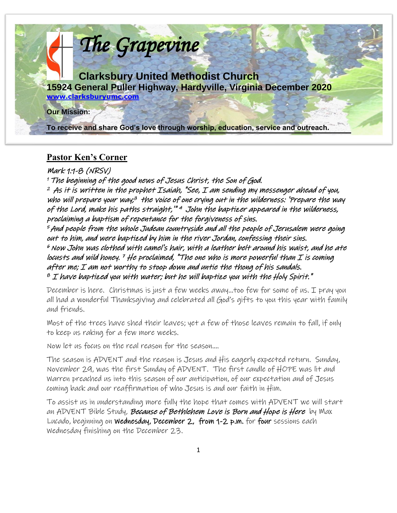

### **Pastor Ken's Corner**

Mark 1:1-8 (NRSV)

<sup>1</sup>The beginning of the good news of Jesus Christ, the Son of God.  $^{\mathsf{2}}$  As it is written in the prophet Isaiah, "See, I am sending my messenger ahead of you, who will prepare your way;<sup>3</sup> the voice of one crying out in the wilderness: 'Prepare the way of the Lord, make his paths straight,"" <sup>4</sup> John the baptizer appeared in the wilderness, proclaiming a baptism of repentance for the forgiveness of sins.

<sup>5</sup>And people from the whole Judean countryside and all the people of Jerusalem were going out to him, and were baptized by him in the river Jordan, confessing their sins.  $^{\mathrm{e}}$  Now John was clothed with camel's hair, with a leather belt around his waist, and he ate locusts and wild honey. <sup>7</sup> He proclaimed, "The one who is more powerful than I is coming after me; I am not worthy to stoop down and untie the thong of his sandals.  $^{\emph{8}}$  I have baptized you with water; but he will baptize you with the Holy Spirit."

December is here. Christmas is just a few weeks away…too few for some of us. I pray you all had a wonderful Thanksgiving and celebrated all God's gifts to you this year with family and friends.

Most of the trees have shed their leaves; yet a few of those leaves remain to fall, if only to keep us raking for a few more weeks.

Now let us focus on the real reason for the season….

The season is ADVENT and the reason is Jesus and His eagerly expected return. Sunday, November 29, was the first Sunday of ADVENT. The first candle of HOPE was lit and Warren preached us into this season of our anticipation, of our expectation and of Jesus coming back and our reaffirmation of who Jesus is and our faith in Him.

To assist us in understanding more fully the hope that comes with ADVENT we will start an ADVENT Bible Study, *Because of Bethlehem Love is Born and Hope is Here by* Max Lucado, beginning on Wednesday, December 2, from 1-2 p.m. for four sessions each Wednesday finishing on the December 23.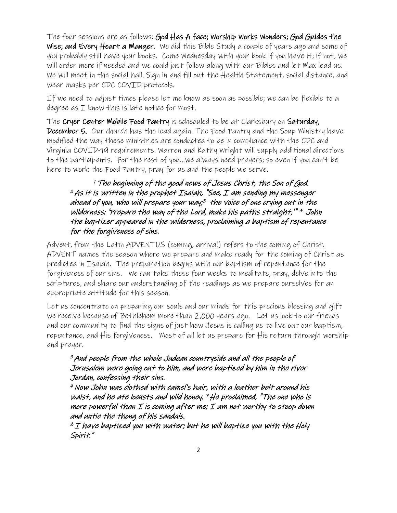The four sessions are as follows: God Has A face; Worship Works Wonders; God Guides the Wise; and Every Heart a Manger. We did this Bible Study a couple of years ago and some of you probably still have your books. Come Wednesday with your book if you have it; if not, we will order more if needed and we could just follow along with our Bibles and let Max lead us. We will meet in the social hall. Sign in and fill out the Health Statement, social distance, and wear masks per CDC COVID protocols.

If we need to adjust times please let me know as soon as possible; we can be flexible to a degree as  $I$  know this is late notice for most.

The Cryer Center Mobile Food Pantry is scheduled to be at Clarksbury on Saturday, December 5. Our church has the lead again. The Food Pantry and the Soup Ministry have modified the way these ministries are conducted to be in compliance with the CDC and Virginia COVID-19 requirements. Warren and Kathy Wright will supply additional directions to the participants. For the rest of you…we always need prayers; so even if you can't be here to work the Food Pantry, pray for us and the people we serve.

#### <sup>1</sup>The beginning of the good news of Jesus Christ, the Son of God.  $2$  As it is written in the prophet Isaiah, "See, I am sending my messenger ahead of you, who will prepare your way; 3 the voice of one crying out in the wilderness: 'Prepare the way of the Lord, make his paths straight,'" 4 John the baptizer appeared in the wilderness, proclaiming a baptism of repentance for the forgiveness of sins.

Advent, from the Latin ADVENTUS (coming, arrival) refers to the coming of Christ. ADVENT names the season where we prepare and make ready for the coming of Christ as predicted in Isaiah. The preparation begins with our baptism of repentance for the forgiveness of our sins. We can take these four weeks to meditate, pray, delve into the scriptures, and share our understanding of the readings as we prepare ourselves for an appropriate attitude for this season.

Let us concentrate on preparing our souls and our minds for this precious blessing and gift we receive because of Bethlehem more than 2,000 years ago. Let us look to our friends and our community to find the signs of just how Jesus is calling us to live out our baptism, repentance, and His forgiveness. Most of all let us prepare for His return through worship and prayer.

#### <sup>5</sup>And people from the whole Judean countryside and all the people of Jerusalem were going out to him, and were baptized by him in the river Jordan, confessing their sins.

 $^{\circ}$  Now John was clothed with camel's hair, with a leather belt around his waist, and he ate locusts and wild honey.  $7$  He proclaimed, "The one who is more powerful than  $I$  is coming after me;  $I$  am not worthy to stoop down and untie the thong of his sandals.

 $^{\text{o}}$  I have baptized you with water; but he will baptize you with the Holy Spirit."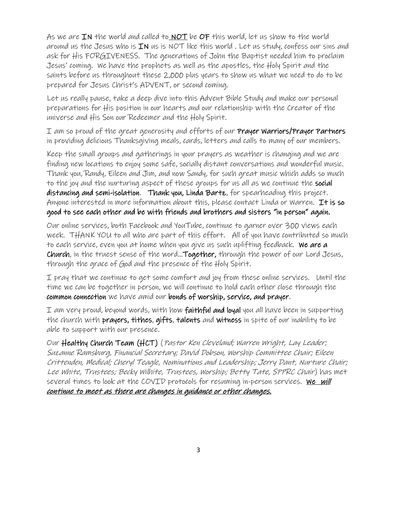As we are IN the world and called to NOT be OF this world, let us show to the world around us the Jesus who is  $IN$  us is NOT like this world. Let us study, confess our sins and ask for His FORGIVENESS. The generations of John the Baptist needed him to proclaim Jesus' coming. We have the prophets as well as the apostles, the Holy Spirit and the saints before us throughout these 2,000 plus years to show us what we need to do to be prepared for Jesus Christ's ADVENT, or second coming.

Let us really pause, take a deep dive into this Advent Bible Study and make our personal preparations for His position in our hearts and our relationship with the Creator of the universe and His Son our Redeemer and the Holy Spirit.

I am so proud of the great generosity and efforts of our Prayer Warriors/Prayer Partners in providing delicious Thanksgiving meals, cards, letters and calls to many of our members.

Keep the small groups and gatherings in your prayers as weather is changing and we are finding new locations to enjoy some safe, socially distant conversations and wonderful music. Thank you, Randy, Eileen and Jim, and now Sandy, for such great music which adds so much to the joy and the nurturing aspect of these groups for us all as we continue the social distancing and semi-isolation. Thank you, Linda Bartz, for spearheading this project. Anyone interested in more information about this, please contact Linda or Warren. It is so good to see each other and be with friends and brothers and sisters "in person" again.

Our online services, both Facebook and YouTube, continue to garner over 300 views each week. THANK YOU to all who are part of this effort. All of you have contributed so much to each service, even you at home when you give us such uplifting feedback. We are a Church, in the truest sense of the word…Together, through the power of our Lord Jesus, through the grace of God and the presence of the Holy Spirit.

I pray that we continue to get some comfort and joy from these online services. Until the time we can be together in person, we will continue to hold each other close through the common connection we have amid our bonds of worship, service, and prayer.

I am very proud, beyond words, with how **faithful and loyal** you all have been in supporting the church with **prayers, tithes**, gifts, talents and witness in spite of our inability to be able to support with our presence.

Our Healthy Church Team (HCT) (Pastor Ken Cleveland; Warren Wright, Lay Leader; Suzanne Ramsburg, Financial Secretary; David Dobson, Worship Committee Chair; Eileen Crittenden, Medical; Cheryl Teagle, Nominations and Leadership; Jerry Dant, Nurture Chair; Lee White, Trustees; Becky Wilhite, Trustees, Worship; Betty Tate, SPPRC Chair) has met several times to look at the COVID protocols for resuming in-person services. We will continue to meet as there are changes in guidance or other changes.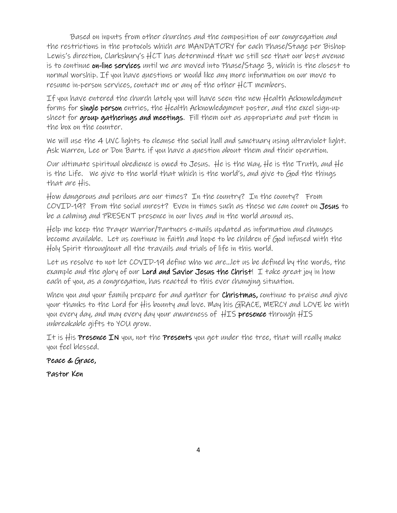Based on inputs from other churches and the composition of our congregation and the restrictions in the protocols which are MANDATORY for each Phase/Stage per Bishop Lewis's direction, Clarksbury's HCT has determined that we still see that our best avenue is to continue on-line services until we are moved into Phase/Stage 3, which is the closest to normal worship. If you have questions or would like any more information on our move to resume in-person services, contact me or any of the other HCT members.

If you have entered the church lately you will have seen the new Health Acknowledgment forms for single person entries, the Health Acknowledgment poster, and the excel sign-up sheet for group gatherings and meetings. Fill them out as appropriate and put them in the box on the counter.

We will use the 4 UVC lights to cleanse the social hall and sanctuary using ultraviolet light. Ask Warren, Lee or Don Bartz if you have a question about them and their operation.

Our ultimate spiritual obedience is owed to Jesus. He is the Way, He is the Truth, and He is the Life. We give to the world that which is the world's, and give to God the things that are His.

How dangerous and perilous are our times? In the country? In the county? From COVID-19? From the social unrest? Even in times such as these we can count on Jesus to be a calming and PRESENT presence in our lives and in the world around us.

Help me keep the Prayer Warrior/Partners e-mails updated as information and changes become available. Let us continue in faith and hope to be children of God infused with the Holy Spirit throughout all the travails and trials of life in this world.

Let us resolve to not let COVID-19 define who we are…let us be defined by the words, the example and the glory of our Lord and Savior Jesus the Christ! I take great joy in how each of you, as a congregation, has reacted to this ever changing situation.

When you and your family prepare for and gather for **Christmas**, continue to praise and give your thanks to the Lord for His bounty and love. May his GRACE, MERCY and LOVE be with you every day, and may every day your awareness of HIS presence through HIS unbreakable gifts to YOU grow.

It is His **Presence IN** you, not the **Presents** you get under the tree, that will really make you feel blessed.

Peace & Grace,

Pastor Ken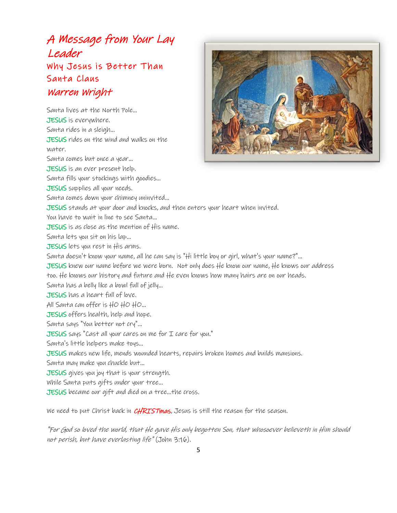# A Message from Your Lay Leader Why Jesus is Better Than Santa Claus Warren Wright

Santa lives at the North Pole... JESUS is everywhere. Santa rides in a sleigh... JESUS rides on the wind and walks on the water. Santa comes but once a year... JESUS is an ever present help. Santa fills your stockings with goodies... JESUS supplies all your needs. Santa comes down your chimney uninvited... JESUS stands at your door and knocks, and then enters your heart when invited. You have to wait in line to see Santa... JESUS is as close as the mention of His name. Santa lets you sit on his lap... JESUS lets you rest in His arms. Santa doesn't know your name, all he can say is "Hi little boy or girl, what's your name?"... JESUS knew our name before we were born. Not only does He know our name, He knows our address too. He knows our history and future and He even knows how many hairs are on our heads. Santa has a belly like a bowl full of jelly... JESUS has a heart full of love. All Santa can offer is HO HO HO... JESUS offers health, help and hope. Santa says "You better not cry"... JESUS says "Cast all your cares on me for I care for you." Santa's little helpers make toys... JESUS makes new life, mends wounded hearts, repairs broken homes and builds mansions. Santa may make you chuckle but... JESUS gives you joy that is your strength. While Santa puts gifts under your tree... JESUS became our gift and died on a tree...the cross.

We need to put Christ back in CHRISTmas, Jesus is still the reason for the season.

"For God so loved the world, that He gave His only begotten Son, that whosoever believeth in Him should not perish, but have everlasting life" (John 3:16).

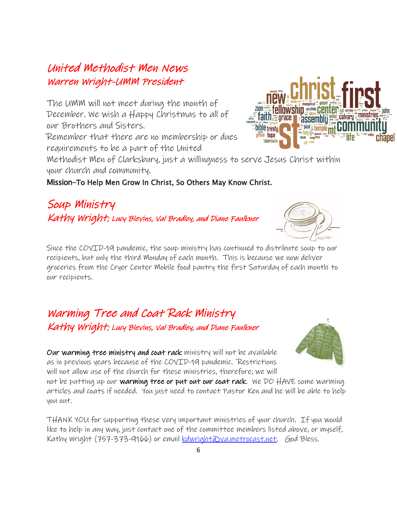## United Methodist Men News Warren Wright-UMM President

The UMM will not meet during the month of December. We wish a Happy Christmas to all of our Brothers and Sisters.

Remember that there are no membership or dues requirements to be a part of the United

Methodist Men of Clarksbury, just a willingness to serve Jesus Christ within your church and community.

#### Mission-To Help Men Grow In Christ, So Others May Know Christ.

# Soup Ministry Kathy Wright; Lucy Blevins, Val Bradley, and Diane Faulkner

Since the COVID-19 pandemic, the soup ministry has continued to distribute soup to our recipients, but only the third Monday of each month. This is because we now deliver groceries from the Cryer Center Mobile food pantry the first Saturday of each month to our recipients.

## Warming Tree and Coat Rack Ministry Kathy Wright; Lucy Blevins, Val Bradley, and Diane Faulkner

Our warming tree ministry and coat rack ministry will not be available as in previous years because of the COVID-19 pandemic. Restrictions will not allow use of the church for these ministries, therefore; we will

not be putting up our **warming tree or put out our coat rack**. We DO HAVE some warming articles and coats if needed. You just need to contact Pastor Ken and he will be able to help you out.

THANK YOU for supporting these very important ministries of your church. If you would like to help in any way, just contact one of the committee members listed above, or myself, Kathy Wright (757-373-9166) or email <u>kdwright@va.metrocast.net</u>. God Bless.





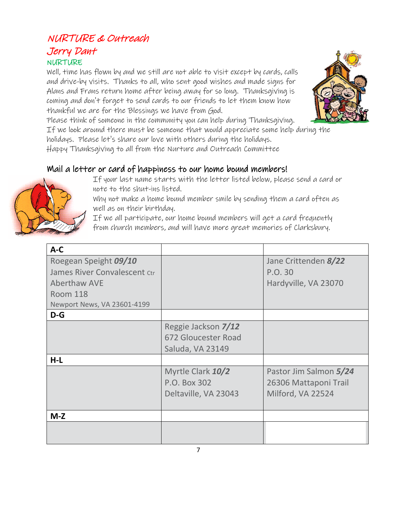## NURTURE & Outreach Jerry Dant **NURTURE**

Well, time has flown by and we still are not able to visit except by cards, calls and drive-by visits. Thanks to all, who sent good wishes and made signs for Alans and Frans return home after being away for so long. Thanksgiving is coming and don't forget to send cards to our friends to let them know how thankful we are for the Blessings we have from God.

Please think of someone in the community you can help during Thanksgiving.

If we look around there must be someone that would appreciate some help during the holidays. Please let's share our love with others during the holidays.

Happy Thanksgiving to all from the Nurture and Outreach Committee

## Mail a letter or card of happiness to our home bound members!



If your last name starts with the letter listed below, please send a card or note to the shut-ins listed.

Why not make a home bound member smile by sending them a card often as well as on their birthday.

If we all participate, our home bound members will get a card frequently from church members, and will have more great memories of Clarksbury.

| $A-C$                        |                      |                        |
|------------------------------|----------------------|------------------------|
| Roegean Speight 09/10        |                      | Jane Crittenden 8/22   |
| James River Convalescent Ctr |                      | P.O. 30                |
| <b>Aberthaw AVE</b>          |                      | Hardyville, VA 23070   |
| <b>Room 118</b>              |                      |                        |
| Newport News, VA 23601-4199  |                      |                        |
| $D-G$                        |                      |                        |
|                              | Reggie Jackson 7/12  |                        |
|                              | 672 Gloucester Road  |                        |
|                              | Saluda, VA 23149     |                        |
| $H-L$                        |                      |                        |
|                              | Myrtle Clark 10/2    | Pastor Jim Salmon 5/24 |
|                              | P.O. Box 302         | 26306 Mattaponi Trail  |
|                              | Deltaville, VA 23043 | Milford, VA 22524      |
|                              |                      |                        |
| $M-Z$                        |                      |                        |
|                              |                      |                        |
|                              |                      |                        |

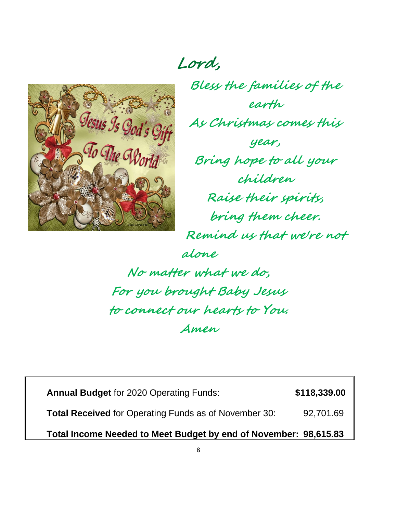**Lord,**



**Bless the families of the earth As Christmas comes this year, Bring hope to all your children Raise their spirits, bring them cheer. Remind us that we're not alone No matter what we do,**

**For you brought Baby Jesus to connect our hearts to You. Amen**

**Annual Budget** for 2020 Operating Funds: **\$118,339.00 Total Received** for Operating Funds as of November 30: 92,701.69 **Total Income Needed to Meet Budget by end of November: 98,615.83**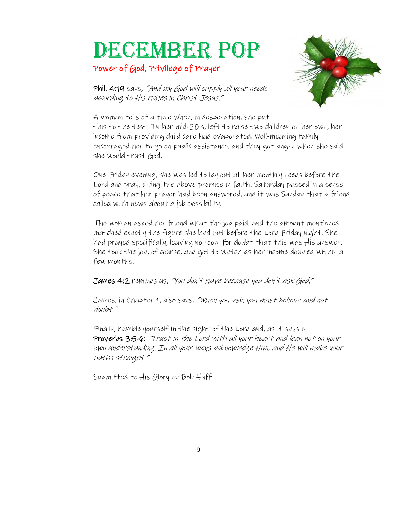# DECEMBER POP

#### Power of God, Privilege of Prayer



Phil. 4:19 says, "And my God will supply all your needs according to His riches in Christ Jesus."

A woman tells of a time when, in desperation, she put this to the test. In her mid-20's, left to raise two children on her own[, her](https://creativecommons.org/licenses/by-nc-sa/3.0/)  income from providing child care had evaporated. Well-meaning family encouraged her to go on public assistance, and they got angry when she said she would trust God.

One Friday evening, she was led to lay out all her monthly needs before the Lord and pray, citing the above promise in faith. Saturday passed in a sense of peace that her prayer had been answered, and it was Sunday that a friend called with news about a job possibility.

The woman asked her friend what the job paid, and the amount mentioned matched exactly the figure she had put before the Lord Friday night. She had prayed specifically, leaving no room for doubt that this was His answer. She took the job, of course, and got to watch as her income doubled within a few months.

James 4:2 reminds us, "You don't have because you don't ask God."

James, in Chapter 1, also says, "When you ask, you must believe and not doubt."

Finally, humble yourself in the sight of the Lord and, as it says in Proverbs 3:5-6; "Trust in the Lord with all your heart and lean not on your own understanding. In all your ways acknowledge Him, and He will make your paths straight."

Submitted to His Glory by Bob Huff